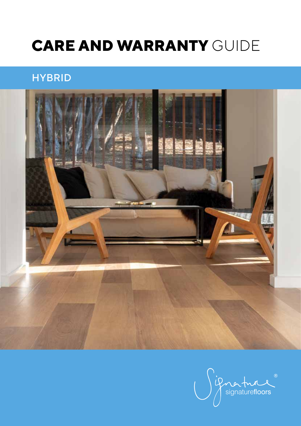# **CARE AND WARRANTY** GUIDE

# **HYBRID**



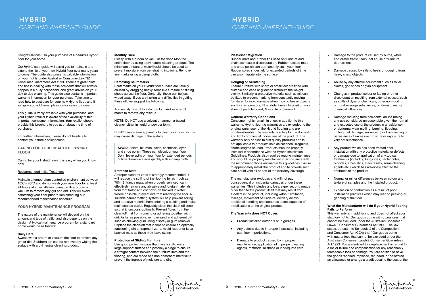1 HYBRID-Care and Warranty Guide<br>1 HYBRID-Care and Warranty Guide<br>2 HYBRID-Care and Warranty Guide

Congratulations! On your purchase of a beautiful Hybrid floor for your home.

Our *Hybrid* care guide will assist you to maintain and extend the life of your new Hybrid floor over many years to come. The guide also presents valuable information on your rights under Australian Consumer Law/NZ Consumer Guarantees Act 1993. There are great hints and tips in dealing with those accidents that will always happen in a busy household, and great advice on your day-to-day cleaning. This guide also contains important warranty information for your purchase. Take time to read how to best care for your new Hybrid floor, and it will give you additional pleasure for years to come.

This guide is freely available with your purchase, and your Hybrid retailer is aware of the availability of this important consumer information. Your retailer should provide this brochure to you at or about the time of purchase.

For further information, please do not hesitate to contact your store's salesperson.

# **CARING FOR YOUR BEAUTIFUL** *HYBRID* **FLOOR**

Caring for your Hybrid flooring is easy when you know how.

# Recommended Initial Treatment

Maintain a temperature controlled environment between 10°C – 40°C and do not wash your new floor for at least 24 hours after installation. Sweep with a broom or vacuum to remove any grit and dirt. This will avoid scratching your floor prior to implementing our recommended maintenance schedule.

# **YOUR HYBRID MAINTENANCE PROGRAM**

The nature of the maintenance will depend on the amount and type of traffic, and also depends on the design. A typical maintenance program for a standard home would be as follows:

# **Daily Care**

Sweep with a broom or vacuum the floor to remove any grit or dirt. Stubborn dirt can be removed by wiping the surface with a pH neutral cleaning product.

### **Monthly Care**

Sweep with a broom or vacuum the floor. Mop the entire floor by using a pH neutral cleaning product. The minimum amount of water/liquid should be used to prevent moisture from penetrating into joins. Remove any marks using a damp cloth.

#### **Removing Scuff Marks**

Scuff marks on your Hybrid floor surface are usually caused by dragging heavy items like furniture or sliding shoes across the floor. Generally, these can be just wiped away. If you are having any difficulties in getting these off, we suggest the following:

Add eucalyptus oil to a damp cloth and wipe scuff marks to remove any residue.

**NOTE:** Do NOT use a solvent or ammonia-based cleaner, either in liquid or powder form.

Do NOT use steam apparatus to clean your floor, as this may cause damage to the surface.

**AVOID:** Paints, bitumen, acids, chemicals, dyes and shoe polish. These can discolour your floor. Don't leave spills on your floor for extended periods of time. Remove stains quickly with a damp cloth.

# **Entrance Mats**

A proper clean-off zone is strongly recommended. It will reduce the soiling of the flooring by as much as 70%. Entrance mats, when properly serviced, can effectively remove any abrasive and foreign materials from foot traffic and cut down on tracked in water. Where possible, prevent dirt from reaching the floor. A suitable barrier matting system will help prevent soiling and abrasive material from entering a building and make maintenance easier. Regularly clean the clean-off zone so that it functions optimally. Prevent fibres from the clean-off mat from running or adhering together with dirt. As far as possible, remove sand and adherent dirt such as chewing gum using a spray or gum remover. Replace the clean-off mat in time to ensure an optimally functioning dirt entrapment zone. Avoid rubber or latex backed mats as these may leave stains.

# **Protection of Sliding Furniture**

Use good protective caps that have a sufficiently large support surface and possibly a hinge to ensure a straight contact between the furniture item and the flooring, and are made of a non-absorbent material to prevent the ingress of moisture and dirt.

#### **Plasticiser Migration**

Rubber mats and rubber tips used on furniture and chairs can cause discolouration. Rubber backed mats and shoe polish can permanently stain your floor. Rubber soled shoes left for extended periods of time can also migrate into the surface.

#### **Gouging or Scratching**

Ensure furniture with sharp or small feet are fitted with suitable end caps or glides to distribute the weight evenly. Similarly, a protective material such as felt can be fitted to prevent marking from constantly moving furniture. To avoid damage when moving heavy objects such as refrigerators, lift or slide them into position on a sheet of particle board, Masonite or plywood.

#### **General Warranty Conditions**

Consumer rights remain in effect in addition to this warranty. Hybrid flooring warranties are extended to the original purchaser of the Hybrid flooring and are non-transferable. The warranty is solely for the domestic and light commercial indoor use of the product. The warranty only applies to first quality products and is not applicable to products sold as seconds, irregulars, shorts lengths or used. Products must be properly installed in accordance with the Hybrid Installation Guidelines. Products also requires routine maintenance. and should be properly maintained in accordance with the recommendations outlined in this guidelines. Failure to appropriately install the product and to provide such care could void all or part of the warranty coverage.

The manufacturer excludes and will not pay consequential or incidental damages under these warranties. This includes any loss, expense, or damage other than to the product itself that may result from a defect in the product, including without limitation, mileage, movement of furniture, delivery delays, additional handling and labour as a consequence of modifications to the original product.

# **The Warranty does NOT Cover:**

- Product installed outdoors or in garages.
- Any defects due to improper installation including sub-floor imperfections.
- Damage to product caused by improper maintenance, application of improper cleaning agents, methods, mishaps or inadequate care.
- Damage to the product caused by burns, wheel and castor traffic, tears, pet abuse or furniture depressions.
- Damage caused by stiletto heels or gouging from heavy sharp objects.
- Abuse by any athletic equipment such as roller skates, golf shoes or gym equipment.
- Changes in product colour or fading or other discolouration resulting from external causes, such as spills of dyes or chemicals, other non-food or non-beverage substances, or atmospheric or chemical influences.
- Damage resulting from accidents, abuse (being any use considered unreasonable given the normal and expected use of the product in a residence) or abnormal wear (soiling, burning, flooding, cutting, pet damage, smoke etc.) or from wetting or persistence of excessive moisture or exposure to very hot substances.
- Any product which has been treated after installation with any protective material or defects, or damage due to application of any topical treatments (including fungicides, bactericides, biocides, anti-statics, stain resists, some cleaning agents etc.) which has adversely affected the attributes of the product.
- Normal or minor differences between colour and texture of samples and the installed product.
- Expansion or contraction as a result of poor installation practices which may lead to peaking or gapping of the floor.

#### **What the Manufacturer will do if your Hybrid flooring Fails to Perform**

This warranty is in addition to and does not affect your statutory rights. Our goods come with guarantees that cannot be excluded under the Australian Consumer Law/NZ Consumer Guarantees Act 1993. The law states, pursuant to Schedule 2 of the Competition and Consumer Act (CCA) that "Our goods come with guarantees that cannot be excluded under the Australian Consumer Law/NZ Consumer Guarantees Act 1993. You are entitled to a replacement or refund for a major failure and compensation for any reasonably foreseeable loss or damage. You are entitled to have the goods repaired, replaced, refunded, or be offered an allowance or arrange a credit equal to the cost of the

if no ture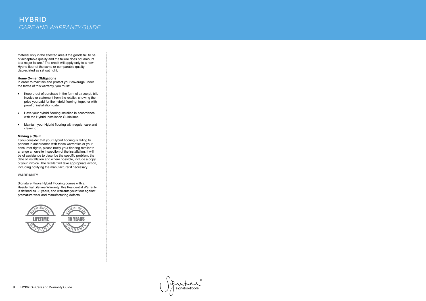# **HYBRID** *CARE AND WARRANTY GUIDE*

material only in the affected area if the goods fail to be of acceptable quality and the failure does not amount to a major failure." The credit will apply only to a new Hybrid floor of the same or comparable quality depreciated as set out right.

# **Home Owner Obligations**

In order to maintain and protect your coverage under the terms of this warranty, you must:

- Keep proof of purchase in the form of a receipt, bill, invoice or statement from the retailer, showing the price you paid for the hybrid flooring, together with proof of installation date.
- Have your hybrid flooring installed in accordance with the Hybrid Installation Guidelines.
- Maintain your Hybrid flooring with regular care and cleaning.

# **Making a Claim**

If you consider that your Hybrid flooring is failing to perform in accordance with these warranties or your consumer rights, please notify your flooring retailer to arrange an on-site inspection of the installation. It will be of assistance to describe the specific problem, the date of installation and where possible, include a copy of your invoice. The retailer will take appropriate action, including notifying the manufacturer if necessary.

# **WARRANTY**

Signature Floors Hybrid Flooring comes with a Residential Lifetime Warranty, this Residential Warranty is defined as 35 years, and warrants your floor against premature wear and manufacturing defects.